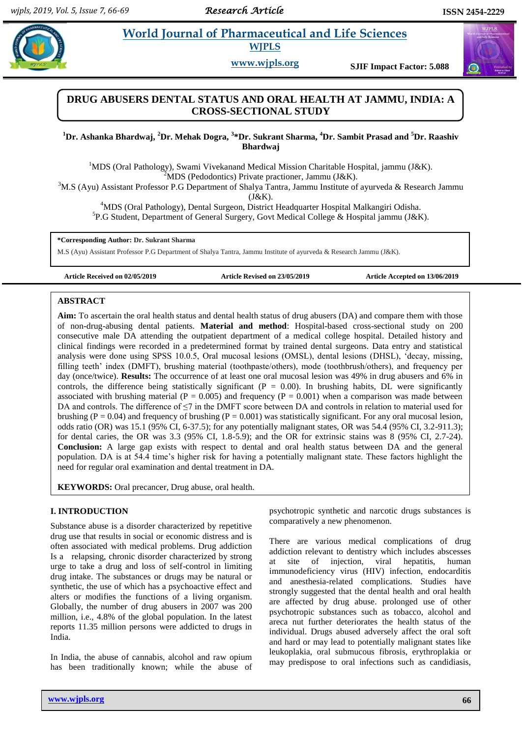# **Example 3 2 Morld Journal of Pharmaceutical and Life Sciences WJPLS**

**www.wjpls.org SJIF Impact Factor: 5.088**

# **DRUG ABUSERS DENTAL STATUS AND ORAL HEALTH AT JAMMU, INDIA: A CROSS-SECTIONAL STUDY**

**<sup>1</sup>Dr. Ashanka Bhardwaj, <sup>2</sup>Dr. Mehak Dogra, <sup>3</sup> \*Dr. Sukrant Sharma, <sup>4</sup>Dr. Sambit Prasad and <sup>5</sup>Dr. Raashiv Bhardwaj**

<sup>1</sup>MDS (Oral Pathology), Swami Vivekanand Medical Mission Charitable Hospital, jammu (J&K).  $2^2$ MDS (Pedodontics) Private practioner, Jammu (J&K).

 $3M.S$  (Ayu) Assistant Professor P.G Department of Shalya Tantra, Jammu Institute of ayurveda & Research Jammu

(J&K).

<sup>4</sup>MDS (Oral Pathology), Dental Surgeon, District Headquarter Hospital Malkangiri Odisha.

<sup>5</sup>P.G Student, Department of General Surgery, Govt Medical College & Hospital jammu (J&K).

**\*Corresponding Author: Dr. Sukrant Sharma**

M.S (Ayu) Assistant Professor P.G Department of Shalya Tantra, Jammu Institute of ayurveda & Research Jammu (J&K).

**Article Received on 02/05/2019 Article Revised on 23/05/2019 Article Accepted on 13/06/2019**

## **ABSTRACT**

**Aim:** To ascertain the oral health status and dental health status of drug abusers (DA) and compare them with those of non-drug-abusing dental patients. **Material and method**: Hospital-based cross-sectional study on 200 consecutive male DA attending the outpatient department of a medical college hospital. Detailed history and clinical findings were recorded in a predetermined format by trained dental surgeons. Data entry and statistical analysis were done using SPSS 10.0.5, Oral mucosal lesions (OMSL), dental lesions (DHSL), 'decay, missing, filling teeth' index (DMFT), brushing material (toothpaste/others), mode (toothbrush/others), and frequency per day (once/twice). **Results:** The occurrence of at least one oral mucosal lesion was 49% in drug abusers and 6% in controls, the difference being statistically significant ( $P = 0.00$ ). In brushing habits, DL were significantly associated with brushing material ( $P = 0.005$ ) and frequency ( $P = 0.001$ ) when a comparison was made between DA and controls. The difference of ≤7 in the DMFT score between DA and controls in relation to material used for brushing ( $P = 0.04$ ) and frequency of brushing ( $P = 0.001$ ) was statistically significant. For any oral mucosal lesion, odds ratio (OR) was 15.1 (95% CI, 6-37.5); for any potentially malignant states, OR was 54.4 (95% CI, 3.2-911.3); for dental caries, the OR was 3.3 (95% CI, 1.8-5.9); and the OR for extrinsic stains was 8 (95% CI, 2.7-24). **Conclusion:** A large gap exists with respect to dental and oral health status between DA and the general population. DA is at 54.4 time's higher risk for having a potentially malignant state. These factors highlight the need for regular oral examination and dental treatment in DA.

**KEYWORDS:** Oral precancer, Drug abuse, oral health.

## **I. INTRODUCTION**

Substance abuse is a disorder characterized by repetitive drug use that results in social or economic distress and is often associated with medical problems. Drug addiction Is a relapsing, chronic disorder characterized by strong urge to take a drug and loss of self-control in limiting drug intake. The substances or drugs may be natural or synthetic, the use of which has a psychoactive effect and alters or modifies the functions of a living organism. Globally, the number of drug abusers in 2007 was 200 million, i.e., 4.8% of the global population. In the latest reports 11.35 million persons were addicted to drugs in India.

In India, the abuse of cannabis, alcohol and raw opium has been traditionally known; while the abuse of psychotropic synthetic and narcotic drugs substances is comparatively a new phenomenon.

There are various medical complications of drug addiction relevant to dentistry which includes abscesses at site of injection, viral hepatitis, human immunodeficiency virus (HIV) infection, endocarditis and anesthesia-related complications. Studies have strongly suggested that the dental health and oral health are affected by drug abuse. prolonged use of other psychotropic substances such as tobacco, alcohol and areca nut further deteriorates the health status of the individual. Drugs abused adversely affect the oral soft and hard or may lead to potentially malignant states like leukoplakia, oral submucous fibrosis, erythroplakia or may predispose to oral infections such as candidiasis,

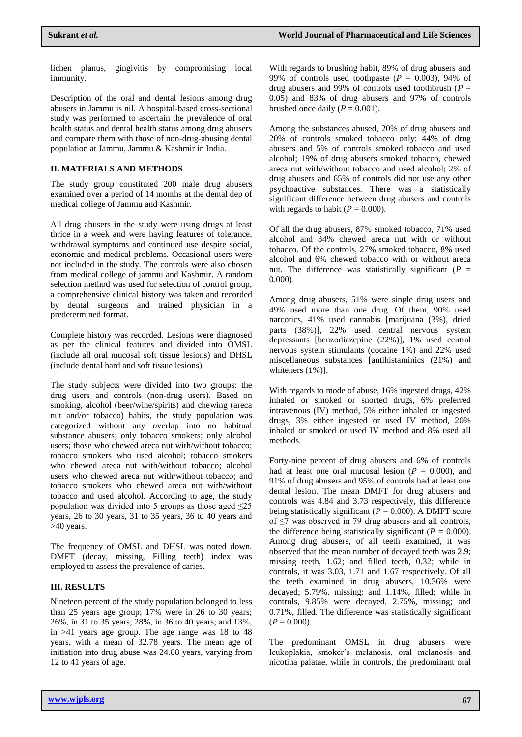lichen planus, gingivitis by compromising local immunity.

Description of the oral and dental lesions among drug abusers in Jammu is nil. A hospital-based cross-sectional study was performed to ascertain the prevalence of oral health status and dental health status among drug abusers and compare them with those of non-drug-abusing dental population at Jammu, Jammu & Kashmir in India.

#### **II. MATERIALS AND METHODS**

The study group constituted 200 male drug abusers examined over a period of 14 months at the dental dep of medical college of Jammu and Kashmir.

All drug abusers in the study were using drugs at least thrice in a week and were having features of tolerance, withdrawal symptoms and continued use despite social, economic and medical problems. Occasional users were not included in the study. The controls were also chosen from medical college of jammu and Kashmir. A random selection method was used for selection of control group, a comprehensive clinical history was taken and recorded by dental surgeons and trained physician in a predetermined format.

Complete history was recorded. Lesions were diagnosed as per the clinical features and divided into OMSL (include all oral mucosal soft tissue lesions) and DHSL (include dental hard and soft tissue lesions).

The study subjects were divided into two groups: the drug users and controls (non-drug users). Based on smoking, alcohol (beer/wine/spirits) and chewing (areca nut and/or tobacco) habits, the study population was categorized without any overlap into no habitual substance abusers; only tobacco smokers; only alcohol users; those who chewed areca nut with/without tobacco; tobacco smokers who used alcohol; tobacco smokers who chewed areca nut with/without tobacco; alcohol users who chewed areca nut with/without tobacco; and tobacco smokers who chewed areca nut with/without tobacco and used alcohol. According to age, the study population was divided into 5 groups as those aged  $\leq 25$ years, 26 to 30 years, 31 to 35 years, 36 to 40 years and >40 years.

The frequency of OMSL and DHSL was noted down. DMFT (decay, missing, Filling teeth) index was employed to assess the prevalence of caries.

#### **III. RESULTS**

Nineteen percent of the study population belonged to less than 25 years age group; 17% were in 26 to 30 years; 26%, in 31 to 35 years; 28%, in 36 to 40 years; and 13%, in >41 years age group. The age range was 18 to 48 years, with a mean of 32.78 years. The mean age of initiation into drug abuse was 24.88 years, varying from 12 to 41 years of age.

With regards to brushing habit, 89% of drug abusers and 99% of controls used toothpaste  $(P = 0.003)$ , 94% of drug abusers and 99% of controls used toothbrush ( $P =$ 0.05) and 83% of drug abusers and 97% of controls brushed once daily  $(P = 0.001)$ .

Among the substances abused, 20% of drug abusers and 20% of controls smoked tobacco only; 44% of drug abusers and 5% of controls smoked tobacco and used alcohol; 19% of drug abusers smoked tobacco, chewed areca nut with/without tobacco and used alcohol; 2% of drug abusers and 65% of controls did not use any other psychoactive substances. There was a statistically significant difference between drug abusers and controls with regards to habit  $(P = 0.000)$ .

Of all the drug abusers, 87% smoked tobacco, 71% used alcohol and 34% chewed areca nut with or without tobacco. Of the controls, 27% smoked tobacco, 8% used alcohol and 6% chewed tobacco with or without areca nut. The difference was statistically significant  $(P =$ 0.000).

Among drug abusers, 51% were single drug users and 49% used more than one drug. Of them, 90% used narcotics, 41% used cannabis [marijuana (3%), dried parts (38%)], 22% used central nervous system depressants [benzodiazepine (22%)], 1% used central nervous system stimulants (cocaine 1%) and 22% used miscellaneous substances [antihistaminics (21%) and whiteners (1%)].

With regards to mode of abuse, 16% ingested drugs, 42% inhaled or smoked or snorted drugs, 6% preferred intravenous (IV) method, 5% either inhaled or ingested drugs, 3% either ingested or used IV method, 20% inhaled or smoked or used IV method and 8% used all methods.

Forty-nine percent of drug abusers and 6% of controls had at least one oral mucosal lesion  $(P = 0.000)$ , and 91% of drug abusers and 95% of controls had at least one dental lesion. The mean DMFT for drug abusers and controls was 4.84 and 3.73 respectively, this difference being statistically significant (*P* = 0.000). A DMFT score of ≤7 was observed in 79 drug abusers and all controls, the difference being statistically significant ( $P = 0.000$ ). Among drug abusers, of all teeth examined, it was observed that the mean number of decayed teeth was 2.9; missing teeth, 1.62; and filled teeth, 0.32; while in controls, it was 3.03, 1.71 and 1.67 respectively. Of all the teeth examined in drug abusers, 10.36% were decayed; 5.79%, missing; and 1.14%, filled; while in controls, 9.85% were decayed, 2.75%, missing; and 0.71%, filled. The difference was statistically significant  $(P = 0.000)$ .

The predominant OMSL in drug abusers were leukoplakia, smoker's melanosis, oral melanosis and nicotina palatae, while in controls, the predominant oral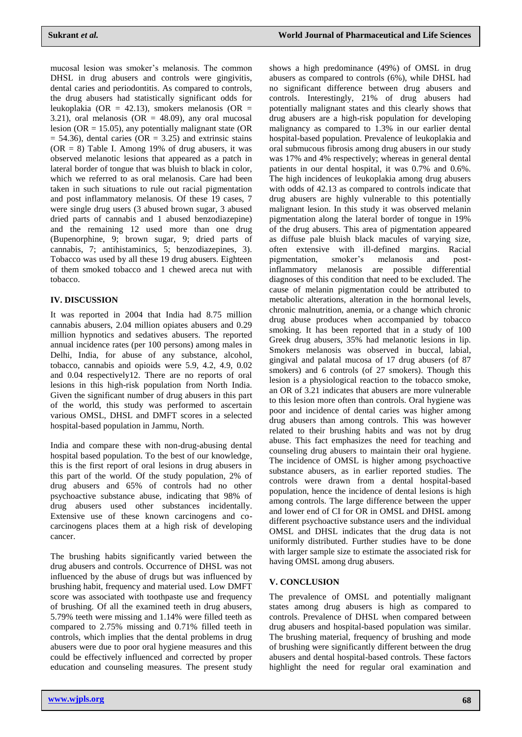mucosal lesion was smoker's melanosis. The common DHSL in drug abusers and controls were gingivitis, dental caries and periodontitis. As compared to controls, the drug abusers had statistically significant odds for leukoplakia (OR = 42.13), smokers melanosis (OR = 3.21), oral melanosis (OR =  $48.09$ ), any oral mucosal lesion (OR = 15.05), any potentially malignant state (OR  $= 54.36$ , dental caries (OR  $= 3.25$ ) and extrinsic stains  $(OR = 8)$  Table I. Among 19% of drug abusers, it was observed melanotic lesions that appeared as a patch in lateral border of tongue that was bluish to black in color, which we referred to as oral melanosis. Care had been taken in such situations to rule out racial pigmentation and post inflammatory melanosis. Of these 19 cases, 7 were single drug users (3 abused brown sugar, 3 abused dried parts of cannabis and 1 abused benzodiazepine) and the remaining 12 used more than one drug (Bupenorphine, 9; brown sugar, 9; dried parts of cannabis, 7; antihistaminics, 5; benzodiazepines, 3). Tobacco was used by all these 19 drug abusers. Eighteen of them smoked tobacco and 1 chewed areca nut with tobacco.

## **IV. DISCUSSION**

It was reported in 2004 that India had 8.75 million cannabis abusers, 2.04 million opiates abusers and 0.29 million hypnotics and sedatives abusers. The reported annual incidence rates (per 100 persons) among males in Delhi, India, for abuse of any substance, alcohol, tobacco, cannabis and opioids were 5.9, 4.2, 4.9, 0.02 and 0.04 respectively12. There are no reports of oral lesions in this high-risk population from North India. Given the significant number of drug abusers in this part of the world, this study was performed to ascertain various OMSL, DHSL and DMFT scores in a selected hospital-based population in Jammu, North.

India and compare these with non-drug-abusing dental hospital based population. To the best of our knowledge, this is the first report of oral lesions in drug abusers in this part of the world. Of the study population, 2% of drug abusers and 65% of controls had no other psychoactive substance abuse, indicating that 98% of drug abusers used other substances incidentally. Extensive use of these known carcinogens and cocarcinogens places them at a high risk of developing cancer.

The brushing habits significantly varied between the drug abusers and controls. Occurrence of DHSL was not influenced by the abuse of drugs but was influenced by brushing habit, frequency and material used. Low DMFT score was associated with toothpaste use and frequency of brushing. Of all the examined teeth in drug abusers, 5.79% teeth were missing and 1.14% were filled teeth as compared to 2.75% missing and 0.71% filled teeth in controls, which implies that the dental problems in drug abusers were due to poor oral hygiene measures and this could be effectively influenced and corrected by proper education and counseling measures. The present study

shows a high predominance (49%) of OMSL in drug abusers as compared to controls (6%), while DHSL had no significant difference between drug abusers and controls. Interestingly, 21% of drug abusers had potentially malignant states and this clearly shows that drug abusers are a high-risk population for developing malignancy as compared to 1.3% in our earlier dental hospital-based population. Prevalence of leukoplakia and oral submucous fibrosis among drug abusers in our study was 17% and 4% respectively; whereas in general dental patients in our dental hospital, it was 0.7% and 0.6%. The high incidences of leukoplakia among drug abusers with odds of 42.13 as compared to controls indicate that drug abusers are highly vulnerable to this potentially malignant lesion. In this study it was observed melanin pigmentation along the lateral border of tongue in 19% of the drug abusers. This area of pigmentation appeared as diffuse pale bluish black macules of varying size, often extensive with ill-defined margins. Racial pigmentation, smoker's melanosis and postinflammatory melanosis are possible differential diagnoses of this condition that need to be excluded. The cause of melanin pigmentation could be attributed to metabolic alterations, alteration in the hormonal levels, chronic malnutrition, anemia, or a change which chronic drug abuse produces when accompanied by tobacco smoking. It has been reported that in a study of 100 Greek drug abusers, 35% had melanotic lesions in lip. Smokers melanosis was observed in buccal, labial, gingival and palatal mucosa of 17 drug abusers (of 87 smokers) and 6 controls (of 27 smokers). Though this lesion is a physiological reaction to the tobacco smoke, an OR of 3.21 indicates that abusers are more vulnerable to this lesion more often than controls. Oral hygiene was poor and incidence of dental caries was higher among drug abusers than among controls. This was however related to their brushing habits and was not by drug abuse. This fact emphasizes the need for teaching and counseling drug abusers to maintain their oral hygiene. The incidence of OMSL is higher among psychoactive substance abusers, as in earlier reported studies. The controls were drawn from a dental hospital-based population, hence the incidence of dental lesions is high among controls. The large difference between the upper and lower end of CI for OR in OMSL and DHSL among different psychoactive substance users and the individual OMSL and DHSL indicates that the drug data is not uniformly distributed. Further studies have to be done with larger sample size to estimate the associated risk for having OMSL among drug abusers.

#### **V. CONCLUSION**

The prevalence of OMSL and potentially malignant states among drug abusers is high as compared to controls. Prevalence of DHSL when compared between drug abusers and hospital-based population was similar. The brushing material, frequency of brushing and mode of brushing were significantly different between the drug abusers and dental hospital-based controls. These factors highlight the need for regular oral examination and